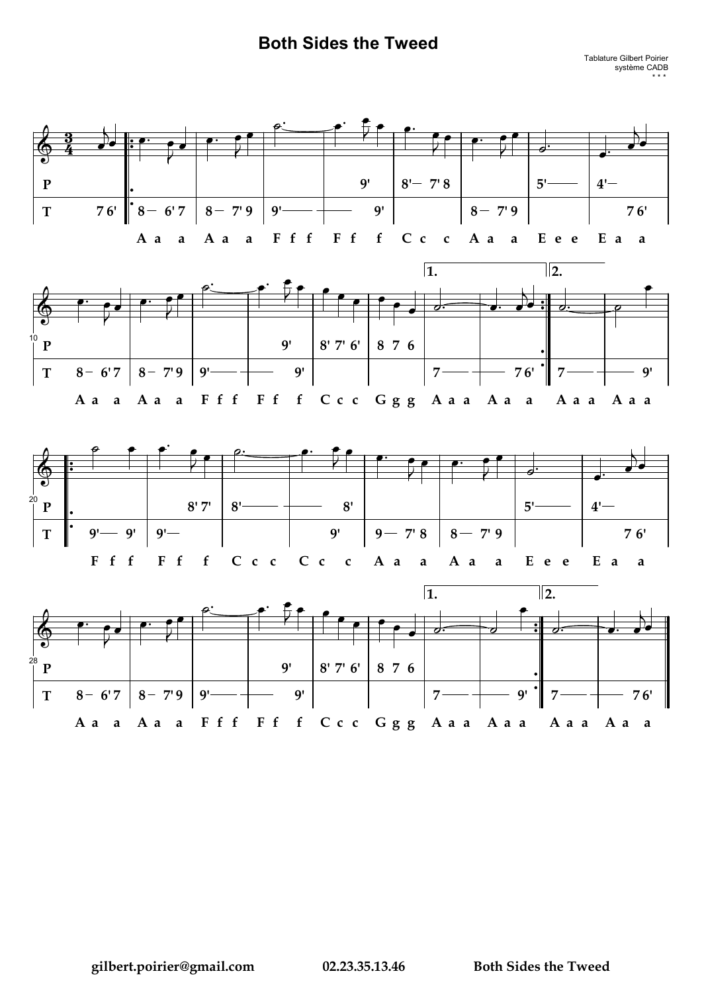## **Both Sides the Tweed**